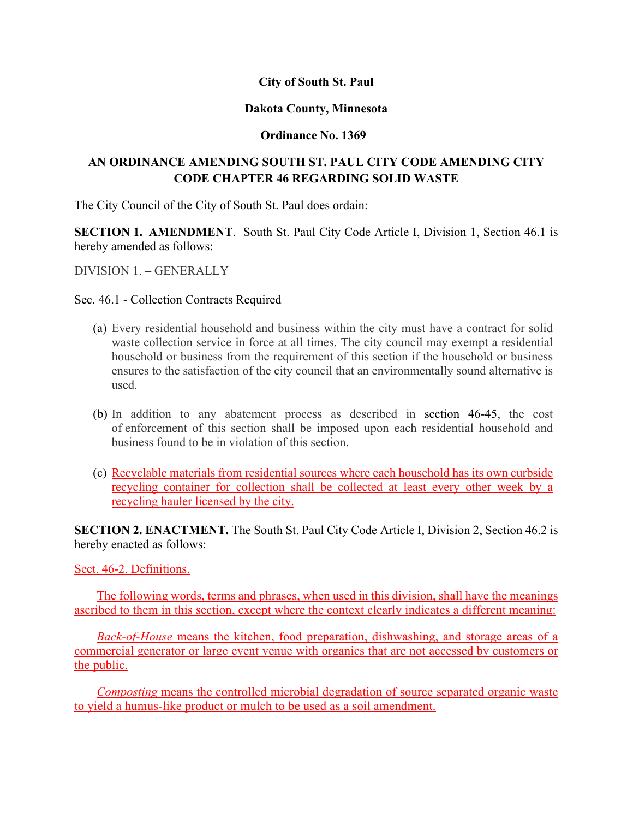## **City of South St. Paul**

#### **Dakota County, Minnesota**

## **Ordinance No. 1369**

# **AN ORDINANCE AMENDING SOUTH ST. PAUL CITY CODE AMENDING CITY CODE CHAPTER 46 REGARDING SOLID WASTE**

The City Council of the City of South St. Paul does ordain:

**SECTION 1. AMENDMENT.** South St. Paul City Code Article I, Division 1, Section 46.1 is hereby amended as follows:

DIVISION 1. – GENERALLY

## Sec. 46.1 - Collection Contracts Required

- (a) Every residential household and business within the city must have a contract for solid waste collection service in force at all times. The city council may exempt a residential household or business from the requirement of this section if the household or business ensures to the satisfaction of the city council that an environmentally sound alternative is used.
- (b) In addition to any abatement process as described in section 46-45, the cost of enforcement of this section shall be imposed upon each residential household and business found to be in violation of this section.
- (c) Recyclable materials from residential sources where each household has its own curbside recycling container for collection shall be collected at least every other week by a recycling hauler licensed by the city.

**SECTION 2. ENACTMENT.** The South St. Paul City Code Article I, Division 2, Section 46.2 is hereby enacted as follows:

Sect. 46-2. Definitions.

The following words, terms and phrases, when used in this division, shall have the meanings ascribed to them in this section, except where the context clearly indicates a different meaning:

*Back-of-House* means the kitchen, food preparation, dishwashing, and storage areas of a commercial generator or large event venue with organics that are not accessed by customers or the public.

*Composting* means the controlled microbial degradation of source separated organic waste to yield a humus-like product or mulch to be used as a soil amendment.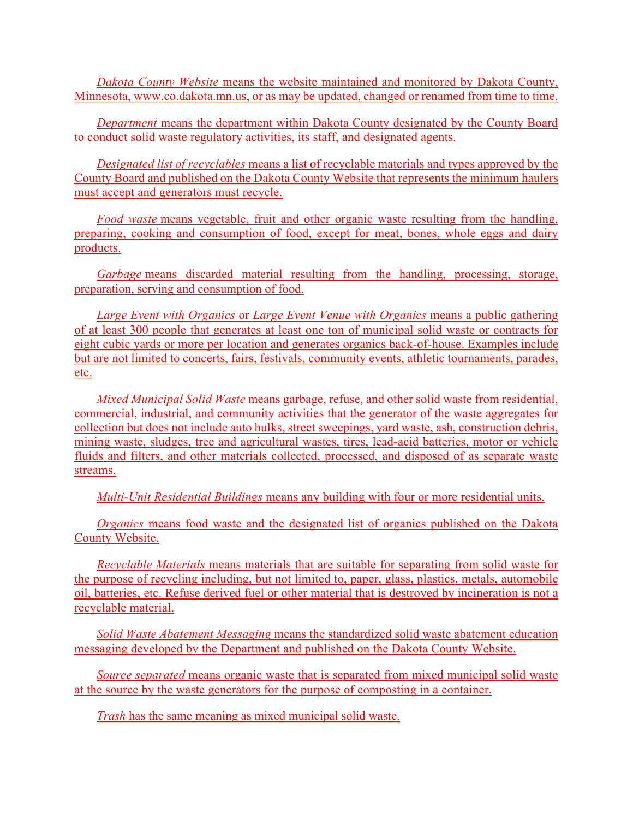*Dakota County Website* means the website maintained and monitored by Dakota County, Minnesota, www.co.dakota.mn.us, or as may be updated, changed or renamed from time to time.

*Department* means the department within Dakota County designated by the County Board to conduct solid waste regulatory activities, its staff, and designated agents.

*Designated list of recyclables* means a list of recyclable materials and types approved by the County Board and published on the Dakota County Website that represents the minimum haulers must accept and generators must recycle.

*Food waste* means vegetable, fruit and other organic waste resulting from the handling, preparing, cooking and consumption of food, except for meat, bones, whole eggs and dairy products.

*Garbage* means discarded material resulting from the handling, processing, storage, preparation, serving and consumption of food.

*Large Event with Organics* or *Large Event Venue with Organics* means a public gathering of at least 300 people that generates at least one ton of municipal solid waste or contracts for eight cubic yards or more per location and generates organics back-of-house. Examples include but are not limited to concerts, fairs, festivals, community events, athletic tournaments, parades, etc.

*Mixed Municipal Solid Waste* means garbage, refuse, and other solid waste from residential, commercial, industrial, and community activities that the generator of the waste aggregates for collection but does not include auto hulks, street sweepings, yard waste, ash, construction debris, mining waste, sludges, tree and agricultural wastes, tires, lead-acid batteries, motor or vehicle fluids and filters, and other materials collected, processed, and disposed of as separate waste streams.

*Multi-Unit Residential Buildings* means any building with four or more residential units.

*Organics* means food waste and the designated list of organics published on the Dakota County Website.

*Recyclable Materials* means materials that are suitable for separating from solid waste for the purpose of recycling including, but not limited to, paper, glass, plastics, metals, automobile oil, batteries, etc. Refuse derived fuel or other material that is destroyed by incineration is not a recyclable material.

*Solid Waste Abatement Messaging* means the standardized solid waste abatement education messaging developed by the Department and published on the Dakota County Website.

*Source separated* means organic waste that is separated from mixed municipal solid waste at the source by the waste generators for the purpose of composting in a container.

*Trash* has the same meaning as mixed municipal solid waste.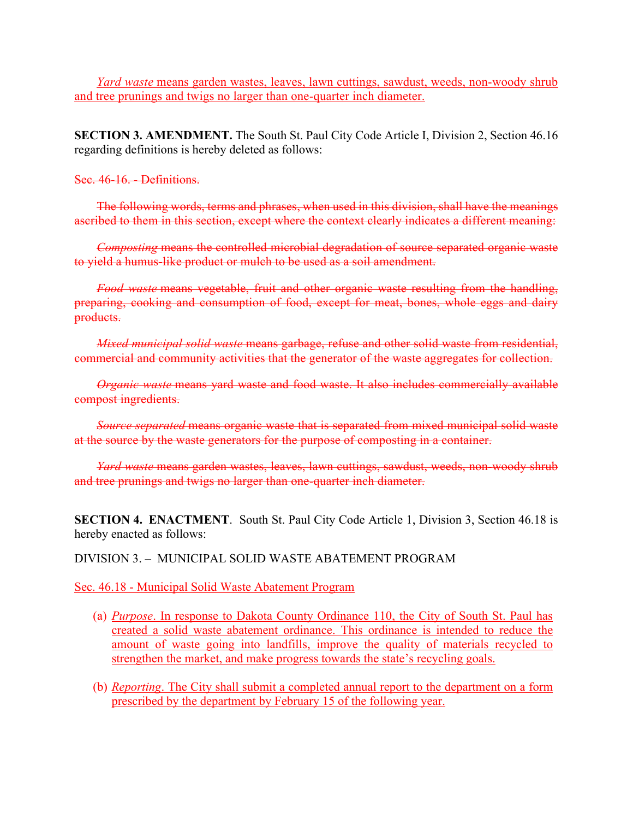*Yard waste* means garden wastes, leaves, lawn cuttings, sawdust, weeds, non-woody shrub and tree prunings and twigs no larger than one-quarter inch diameter.

**SECTION 3. AMENDMENT.** The South St. Paul City Code Article I, Division 2, Section 46.16 regarding definitions is hereby deleted as follows:

#### Sec. 46-16. - Definitions.

The following words, terms and phrases, when used in this division, shall have the meanings ascribed to them in this section, except where the context clearly indicates a different meaning:

*Composting* means the controlled microbial degradation of source separated organic waste to yield a humus-like product or mulch to be used as a soil amendment.

*Food waste* means vegetable, fruit and other organic waste resulting from the handling, preparing, cooking and consumption of food, except for meat, bones, whole eggs and dairy products.

*Mixed municipal solid waste* means garbage, refuse and other solid waste from residential, commercial and community activities that the generator of the waste aggregates for collection.

*Organic waste* means yard waste and food waste. It also includes commercially available compost ingredients.

*Source separated* means organic waste that is separated from mixed municipal solid waste at the source by the waste generators for the purpose of composting in a container.

*Yard waste* means garden wastes, leaves, lawn cuttings, sawdust, weeds, non-woody shrub and tree prunings and twigs no larger than one-quarter inch diameter.

**SECTION 4. ENACTMENT**. South St. Paul City Code Article 1, Division 3, Section 46.18 is hereby enacted as follows:

## DIVISION 3. – MUNICIPAL SOLID WASTE ABATEMENT PROGRAM

Sec. 46.18 - Municipal Solid Waste Abatement Program

- (a) *Purpose*. In response to Dakota County Ordinance 110, the City of South St. Paul has created a solid waste abatement ordinance. This ordinance is intended to reduce the amount of waste going into landfills, improve the quality of materials recycled to strengthen the market, and make progress towards the state's recycling goals.
- (b) *Reporting*. The City shall submit a completed annual report to the department on a form prescribed by the department by February 15 of the following year.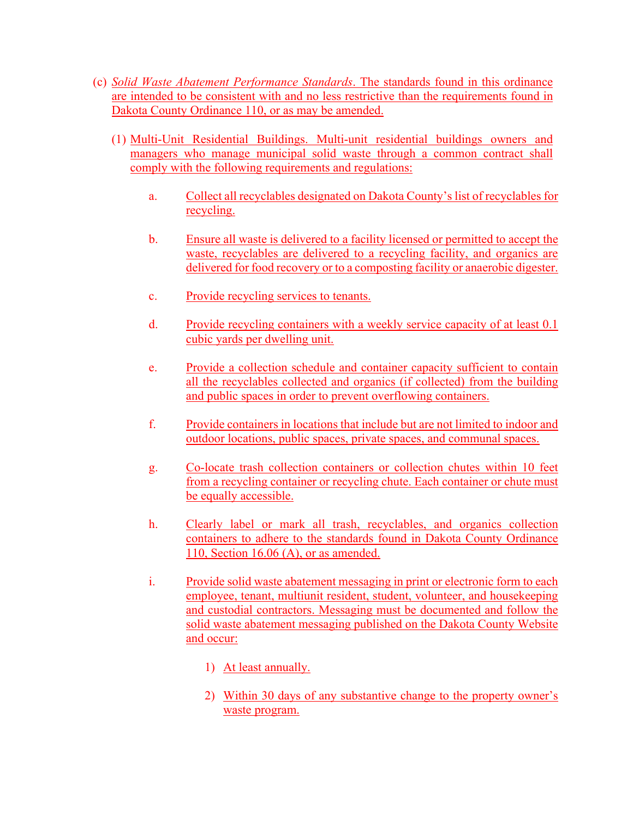- (c) *Solid Waste Abatement Performance Standards*. The standards found in this ordinance are intended to be consistent with and no less restrictive than the requirements found in Dakota County Ordinance 110, or as may be amended.
	- (1) Multi-Unit Residential Buildings. Multi-unit residential buildings owners and managers who manage municipal solid waste through a common contract shall comply with the following requirements and regulations:
		- a. Collect all recyclables designated on Dakota County's list of recyclables for recycling.
		- b. Ensure all waste is delivered to a facility licensed or permitted to accept the waste, recyclables are delivered to a recycling facility, and organics are delivered for food recovery or to a composting facility or anaerobic digester.
		- c. Provide recycling services to tenants.
		- d. Provide recycling containers with a weekly service capacity of at least 0.1 cubic yards per dwelling unit.
		- e. Provide a collection schedule and container capacity sufficient to contain all the recyclables collected and organics (if collected) from the building and public spaces in order to prevent overflowing containers.
		- f. Provide containers in locations that include but are not limited to indoor and outdoor locations, public spaces, private spaces, and communal spaces.
		- g. Co-locate trash collection containers or collection chutes within 10 feet from a recycling container or recycling chute. Each container or chute must be equally accessible.
		- h. Clearly label or mark all trash, recyclables, and organics collection containers to adhere to the standards found in Dakota County Ordinance 110, Section 16.06 (A), or as amended.
		- i. Provide solid waste abatement messaging in print or electronic form to each employee, tenant, multiunit resident, student, volunteer, and housekeeping and custodial contractors. Messaging must be documented and follow the solid waste abatement messaging published on the Dakota County Website and occur:
			- 1) At least annually.
			- 2) Within 30 days of any substantive change to the property owner's waste program.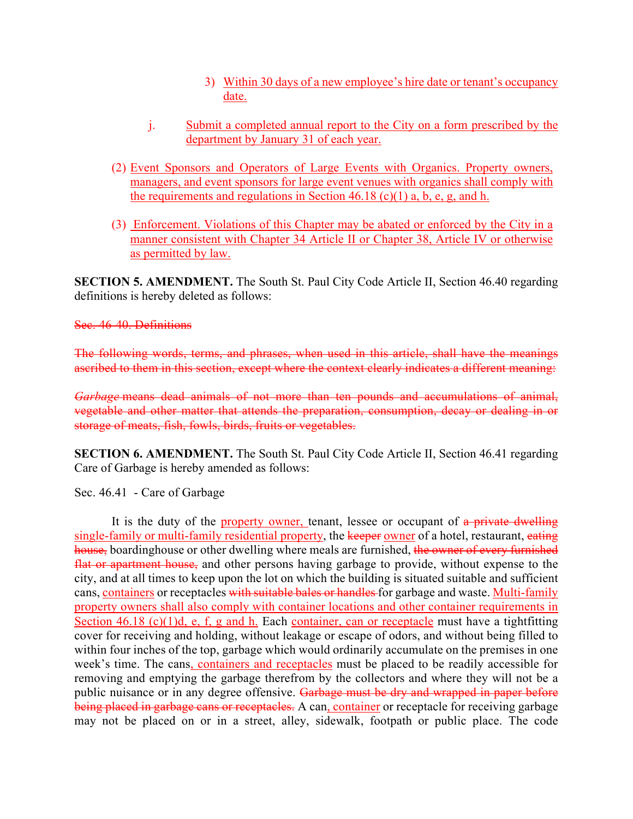- 3) Within 30 days of a new employee's hire date or tenant's occupancy date.
- j. Submit a completed annual report to the City on a form prescribed by the department by January 31 of each year.
- (2) Event Sponsors and Operators of Large Events with Organics. Property owners, managers, and event sponsors for large event venues with organics shall comply with the requirements and regulations in Section 46.18 (c)(1) a, b, e, g, and h.
- (3) Enforcement. Violations of this Chapter may be abated or enforced by the City in a manner consistent with Chapter 34 Article II or Chapter 38, Article IV or otherwise as permitted by law.

**SECTION 5. AMENDMENT.** The South St. Paul City Code Article II, Section 46.40 regarding definitions is hereby deleted as follows:

## Sec. 46-40. Definitions

The following words, terms, and phrases, when used in this article, shall have the meanings ascribed to them in this section, except where the context clearly indicates a different meaning:

*Garbage* means dead animals of not more than ten pounds and accumulations of animal, vegetable and other matter that attends the preparation, consumption, decay or dealing in or storage of meats, fish, fowls, birds, fruits or vegetables.

**SECTION 6. AMENDMENT.** The South St. Paul City Code Article II, Section 46.41 regarding Care of Garbage is hereby amended as follows:

Sec. 46.41 - Care of Garbage

It is the duty of the property owner, tenant, lessee or occupant of a private dwelling single-family or multi-family residential property, the keeper owner of a hotel, restaurant, eating house, boardinghouse or other dwelling where meals are furnished, the owner of every furnished flat or apartment house, and other persons having garbage to provide, without expense to the city, and at all times to keep upon the lot on which the building is situated suitable and sufficient cans, containers or receptacles with suitable bales or handles for garbage and waste. Multi-family property owners shall also comply with container locations and other container requirements in Section 46.18 (c)(1)d, e, f, g and h. Each container, can or receptacle must have a tightfitting cover for receiving and holding, without leakage or escape of odors, and without being filled to within four inches of the top, garbage which would ordinarily accumulate on the premises in one week's time. The cans, containers and receptacles must be placed to be readily accessible for removing and emptying the garbage therefrom by the collectors and where they will not be a public nuisance or in any degree offensive. Garbage must be dry and wrapped in paper before being placed in garbage cans or receptacles. A can, container or receptacle for receiving garbage may not be placed on or in a street, alley, sidewalk, footpath or public place. The code